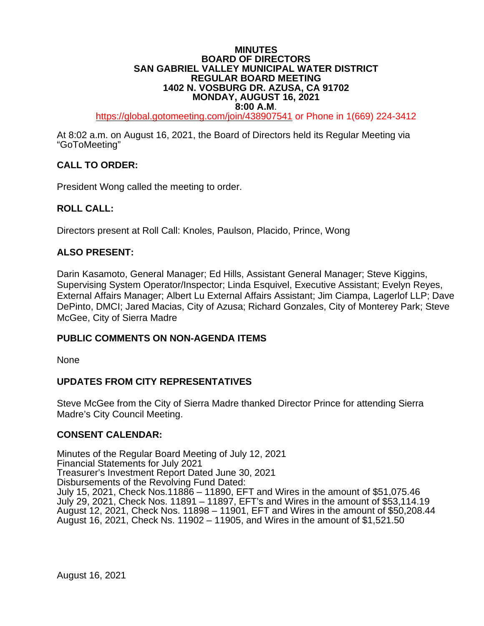### **MINUTES BOARD OF DIRECTORS SAN GABRIEL VALLEY MUNICIPAL WATER DISTRICT REGULAR BOARD MEETING 1402 N. VOSBURG DR. AZUSA, CA 91702 MONDAY, AUGUST 16, 2021**

**8:00 A.M**. [https://global.gotomeeting.com/join/4](https://global.gotomeeting.com/join/6)38907541 or Phone in 1(669) 224-3412

At 8:02 a.m. on August 16, 2021, the Board of Directors held its Regular Meeting via "GoToMeeting"

### **CALL TO ORDER:**

President Wong called the meeting to order.

#### **ROLL CALL:**

Directors present at Roll Call: Knoles, Paulson, Placido, Prince, Wong

#### **ALSO PRESENT:**

Darin Kasamoto, General Manager; Ed Hills, Assistant General Manager; Steve Kiggins, Supervising System Operator/Inspector; Linda Esquivel, Executive Assistant; Evelyn Reyes, External Affairs Manager; Albert Lu External Affairs Assistant; Jim Ciampa, Lagerlof LLP; Dave DePinto, DMCI; Jared Macias, City of Azusa; Richard Gonzales, City of Monterey Park; Steve McGee, City of Sierra Madre

#### **PUBLIC COMMENTS ON NON-AGENDA ITEMS**

None

#### **UPDATES FROM CITY REPRESENTATIVES**

Steve McGee from the City of Sierra Madre thanked Director Prince for attending Sierra Madre's City Council Meeting.

#### **CONSENT CALENDAR:**

Minutes of the Regular Board Meeting of July 12, 2021 Financial Statements for July 2021 Treasurer's Investment Report Dated June 30, 2021 Disbursements of the Revolving Fund Dated: July 15, 2021, Check Nos.11886 – 11890, EFT and Wires in the amount of \$51,075.46 July 29, 2021, Check Nos. 11891 – 11897, EFT's and Wires in the amount of \$53,114.19 August 12, 2021, Check Nos. 11898 – 11901, EFT and Wires in the amount of \$50,208.44 August 16, 2021, Check Ns. 11902 – 11905, and Wires in the amount of \$1,521.50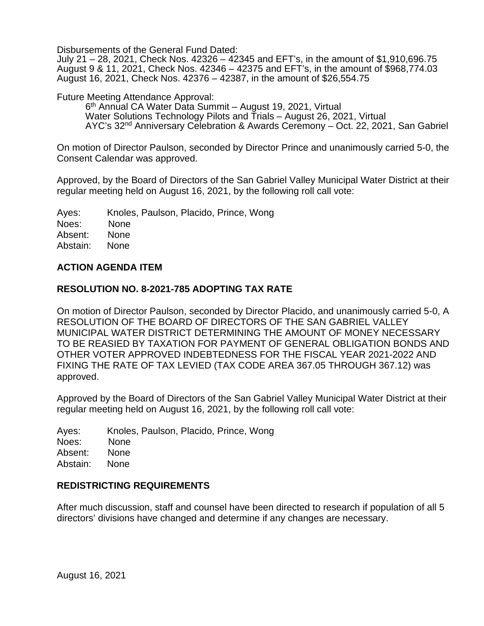Disbursements of the General Fund Dated:

July 21 – 28, 2021, Check Nos. 42326 – 42345 and EFT's, in the amount of \$1,910,696.75 August 9 & 11, 2021, Check Nos. 42346 – 42375 and EFT's, in the amount of \$968,774.03 August 16, 2021, Check Nos. 42376 – 42387, in the amount of \$26,554.75

Future Meeting Attendance Approval:

6th Annual CA Water Data Summit – August 19, 2021, Virtual Water Solutions Technology Pilots and Trials – August 26, 2021, Virtual AYC's 32nd Anniversary Celebration & Awards Ceremony – Oct. 22, 2021, San Gabriel

On motion of Director Paulson, seconded by Director Prince and unanimously carried 5-0, the Consent Calendar was approved.

Approved, by the Board of Directors of the San Gabriel Valley Municipal Water District at their regular meeting held on August 16, 2021, by the following roll call vote:

Ayes: Knoles, Paulson, Placido, Prince, Wong Noes: None<br>Absent: None Absent: Abstain: None

#### **ACTION AGENDA ITEM**

#### **RESOLUTION NO. 8-2021-785 ADOPTING TAX RATE**

On motion of Director Paulson, seconded by Director Placido, and unanimously carried 5-0, A RESOLUTION OF THE BOARD OF DIRECTORS OF THE SAN GABRIEL VALLEY MUNICIPAL WATER DISTRICT DETERMINING THE AMOUNT OF MONEY NECESSARY TO BE REASIED BY TAXATION FOR PAYMENT OF GENERAL OBLIGATION BONDS AND OTHER VOTER APPROVED INDEBTEDNESS FOR THE FISCAL YEAR 2021-2022 AND FIXING THE RATE OF TAX LEVIED (TAX CODE AREA 367.05 THROUGH 367.12) was approved.

Approved by the Board of Directors of the San Gabriel Valley Municipal Water District at their regular meeting held on August 16, 2021, by the following roll call vote:

Ayes: Knoles, Paulson, Placido, Prince, Wong Noes: None Absent: None Abstain: None

#### **REDISTRICTING REQUIREMENTS**

After much discussion, staff and counsel have been directed to research if population of all 5 directors' divisions have changed and determine if any changes are necessary.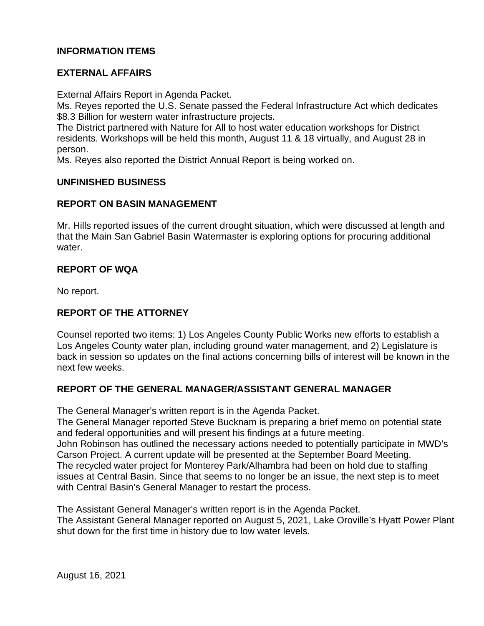## **INFORMATION ITEMS**

## **EXTERNAL AFFAIRS**

External Affairs Report in Agenda Packet.

Ms. Reyes reported the U.S. Senate passed the Federal Infrastructure Act which dedicates \$8.3 Billion for western water infrastructure projects.

The District partnered with Nature for All to host water education workshops for District residents. Workshops will be held this month, August 11 & 18 virtually, and August 28 in person.

Ms. Reyes also reported the District Annual Report is being worked on.

#### **UNFINISHED BUSINESS**

#### **REPORT ON BASIN MANAGEMENT**

Mr. Hills reported issues of the current drought situation, which were discussed at length and that the Main San Gabriel Basin Watermaster is exploring options for procuring additional water.

### **REPORT OF WQA**

No report.

# **REPORT OF THE ATTORNEY**

Counsel reported two items: 1) Los Angeles County Public Works new efforts to establish a Los Angeles County water plan, including ground water management, and 2) Legislature is back in session so updates on the final actions concerning bills of interest will be known in the next few weeks.

### **REPORT OF THE GENERAL MANAGER/ASSISTANT GENERAL MANAGER**

The General Manager's written report is in the Agenda Packet.

The General Manager reported Steve Bucknam is preparing a brief memo on potential state and federal opportunities and will present his findings at a future meeting. John Robinson has outlined the necessary actions needed to potentially participate in MWD's Carson Project. A current update will be presented at the September Board Meeting. The recycled water project for Monterey Park/Alhambra had been on hold due to staffing issues at Central Basin. Since that seems to no longer be an issue, the next step is to meet with Central Basin's General Manager to restart the process.

The Assistant General Manager's written report is in the Agenda Packet. The Assistant General Manager reported on August 5, 2021, Lake Oroville's Hyatt Power Plant shut down for the first time in history due to low water levels.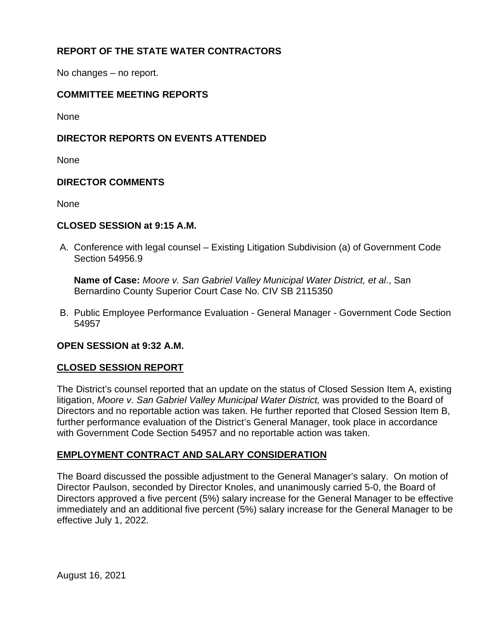# **REPORT OF THE STATE WATER CONTRACTORS**

No changes – no report.

## **COMMITTEE MEETING REPORTS**

None

## **DIRECTOR REPORTS ON EVENTS ATTENDED**

None

### **DIRECTOR COMMENTS**

None

#### **CLOSED SESSION at 9:15 A.M.**

A. Conference with legal counsel – Existing Litigation Subdivision (a) of Government Code Section 54956.9

**Name of Case:** *Moore v. San Gabriel Valley Municipal Water District, et al*., San Bernardino County Superior Court Case No. CIV SB 2115350

B. Public Employee Performance Evaluation - General Manager - Government Code Section 54957

### **OPEN SESSION at 9:32 A.M.**

### **CLOSED SESSION REPORT**

The District's counsel reported that an update on the status of Closed Session Item A, existing litigation, *Moore v. San Gabriel Valley Municipal Water District,* was provided to the Board of Directors and no reportable action was taken. He further reported that Closed Session Item B, further performance evaluation of the District's General Manager, took place in accordance with Government Code Section 54957 and no reportable action was taken.

### **EMPLOYMENT CONTRACT AND SALARY CONSIDERATION**

The Board discussed the possible adjustment to the General Manager's salary. On motion of Director Paulson, seconded by Director Knoles, and unanimously carried 5-0, the Board of Directors approved a five percent (5%) salary increase for the General Manager to be effective immediately and an additional five percent (5%) salary increase for the General Manager to be effective July 1, 2022.